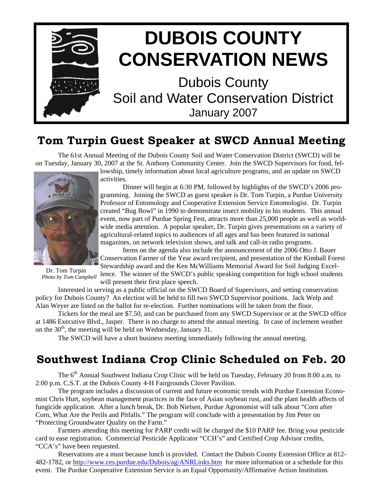

## **Tom Turpin Guest Speaker at SWCD Annual Meeting**

 The 61st Annual Meeting of the Dubois County Soil and Water Conservation District (SWCD) will be on Tuesday, January 30, 2007 at the St. Anthony Community Center. Join the SWCD Supervisors for food, fel-



activities.

 Dinner will begin at 6:30 PM, followed by highlights of the SWCD's 2006 programming. Joining the SWCD as guest speaker is Dr. Tom Turpin, a Purdue University Professor of Entomology and Cooperative Extension Service Entomologist. Dr. Turpin created "Bug Bowl" in 1990 to demonstrate insect mobility to his students. This annual event, now part of Purdue Spring Fest, attracts more than 25,000 people as well as worldwide media attention. A popular speaker, Dr. Turpin gives presentations on a variety of agricultural-related topics to audiences of all ages and has been featured in national magazines, on network television shows, and talk and call-in radio programs.

lowship, timely information about local agriculture programs, and an update on SWCD

 Items on the agenda also include the announcement of the 2006 Otto J. Bauer Conservation Farmer of the Year award recipient, and presentation of the Kimball Forest Stewardship award and the Ken McWilliams Memorial Award for Soil Judging Excel-

Dr. Tom Turpin *Photo by Tom Campbell* 

lence. The winner of the SWCD's public speaking competition for high school students will present their first place speech.

 Interested in serving as a public official on the SWCD Board of Supervisors, and setting conservation policy for Dubois County? An election will be held to fill two SWCD Supervisor positions. Jack Welp and Alan Weyer are listed on the ballot for re-election. Further nominations will be taken from the floor.

 Tickets for the meal are \$7.50, and can be purchased from any SWCD Supervisor or at the SWCD office at 1486 Executive Blvd., Jasper. There is no charge to attend the annual meeting. In case of inclement weather on the  $30<sup>th</sup>$ , the meeting will be held on Wednesday, January 31.

The SWCD will have a short business meeting immediately following the annual meeting.

## **Southwest Indiana Crop Clinic Scheduled on Feb. 20**

The 6<sup>th</sup> Annual Southwest Indiana Crop Clinic will be held on Tuesday, February 20 from 8:00 a.m. to 2:00 p.m. C.S.T. at the Dubois County 4-H Fairgrounds Clover Pavilion.

 The program includes a discussion of current and future economic trends with Purdue Extension Economist Chris Hurt, soybean management practices in the face of Asian soybean rust, and the plant health affects of fungicide application. After a lunch break, Dr. Bob Nielsen, Purdue Agronomist will talk about "Corn after Corn, What Are the Perils and Pitfalls." The program will conclude with a presentation by Jim Peter on "Protecting Groundwater Quality on the Farm."

 Farmers attending this meeting for PARP credit will be charged the \$10 PARP fee. Bring your pesticide card to ease registration. Commercial Pesticide Applicator "CCH's" and Certified Crop Advisor credits, "CCA's" have been requested.

 Reservations are a must because lunch is provided. Contact the Dubois County Extension Office at 812- 482-1782, or http://www.ces.purdue.edu/Dubois/ag/ANRLinks.htm for more information or a schedule for this event. The Purdue Cooperative Extension Service is an Equal Opportunity/Affirmative Action Institution.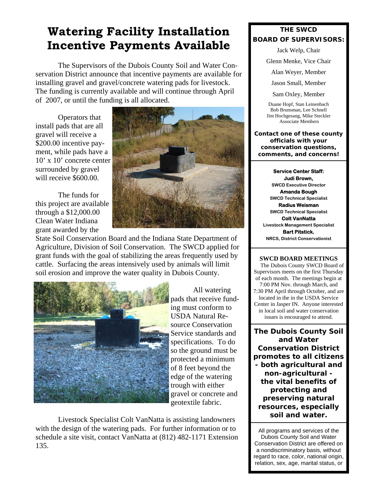# **Watering Facility Installation Incentive Payments Available**

 The Supervisors of the Dubois County Soil and Water Conservation District announce that incentive payments are available for installing gravel and gravel/concrete watering pads for livestock. The funding is currently available and will continue through April of 2007, or until the funding is all allocated.

 Operators that install pads that are all gravel will receive a \$200.00 incentive payment, while pads have a 10' x 10' concrete center surrounded by gravel will receive \$600.00.

 The funds for this project are available through a \$12,000.00 Clean Water Indiana grant awarded by the



State Soil Conservation Board and the Indiana State Department of Agriculture, Division of Soil Conservation. The SWCD applied for grant funds with the goal of stabilizing the areas frequently used by cattle. Surfacing the areas intensively used by animals will limit soil erosion and improve the water quality in Dubois County.



 All watering pads that receive funding must conform to USDA Natural Resource Conservation Service standards and specifications. To do so the ground must be protected a minimum of 8 feet beyond the edge of the watering trough with either gravel or concrete and geotextile fabric.

 Livestock Specialist Colt VanNatta is assisting landowners with the design of the watering pads. For further information or to schedule a site visit, contact VanNatta at (812) 482-1171 Extension 135.

### **THE SWCD BOARD OF SUPERVISORS:**

Jack Welp, Chair

Glenn Menke, Vice Chair

Alan Weyer, Member

Jason Small, Member

Sam Oxley, Member

Duane Hopf, Stan Leinenbach Bob Brunsman, Lee Schnell Jim Hochgesang, Mike Steckler Associate Members

**Contact one of these county officials with your conservation questions, comments, and concerns!** 

**Service Center Staff: Judi Brown, SWCD Executive Director Amanda Bough SWCD Technical Specialist Radius Weisman SWCD Technical Specialist Colt VanNatta Livestock Management Specialist Bart Pitstick, NRCS, District Conservationist** 

#### **SWCD BOARD MEETINGS**

 The Dubois County SWCD Board of Supervisors meets on the first Thursday of each month. The meetings begin at 7:00 PM Nov. through March, and 7:30 PM April through October, and are located in the in the USDA Service Center in Jasper IN. Anyone interested in local soil and water conservation issues is encouraged to attend.

**The Dubois County Soil and Water Conservation District promotes to all citizens - both agricultural and non-agricultural the vital benefits of protecting and preserving natural resources, especially soil and water.** 

All programs and services of the Dubois County Soil and Water Conservation District are offered on a nondiscriminatory basis, without regard to race, color, national origin, relation, sex, age, marital status, or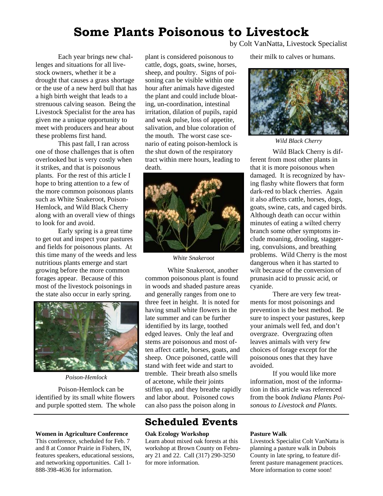## **Some Plants Poisonous to Livestock**

 Each year brings new challenges and situations for all livestock owners, whether it be a drought that causes a grass shortage or the use of a new herd bull that has a high birth weight that leads to a strenuous calving season. Being the Livestock Specialist for the area has given me a unique opportunity to meet with producers and hear about these problems first hand.

 This past fall, I ran across one of those challenges that is often overlooked but is very costly when it strikes, and that is poisonous plants. For the rest of this article I hope to bring attention to a few of the more common poisonous plants such as White Snakeroot, Poison-Hemlock, and Wild Black Cherry along with an overall view of things to look for and avoid.

 Early spring is a great time to get out and inspect your pastures and fields for poisonous plants. At this time many of the weeds and less nutritious plants emerge and start growing before the more common forages appear. Because of this most of the livestock poisonings in the state also occur in early spring.



*Poison-Hemlock* 

 Poison-Hemlock can be identified by its small white flowers and purple spotted stem. The whole

#### **Women in Agriculture Conference**

This conference, scheduled for Feb. 7 and 8 at Connor Prairie in Fishers, IN, features speakers, educational sessions, and networking opportunities. Call 1- 888-398-4636 for information.

plant is considered poisonous to cattle, dogs, goats, swine, horses, sheep, and poultry. Signs of poisoning can be visible within one hour after animals have digested the plant and could include bloating, un-coordination, intestinal irritation, dilation of pupils, rapid and weak pulse, loss of appetite, salivation, and blue coloration of the mouth. The worst case scenario of eating poison-hemlock is the shut down of the respiratory tract within mere hours, leading to death.



*White Snakeroot* 

White Snakeroot, another common poisonous plant is found in woods and shaded pasture areas and generally ranges from one to three feet in height. It is noted for having small white flowers in the late summer and can be further identified by its large, toothed edged leaves. Only the leaf and stems are poisonous and most often affect cattle, horses, goats, and sheep. Once poisoned, cattle will stand with feet wide and start to tremble. Their breath also smells of acetone, while their joints stiffen up, and they breathe rapidly and labor about. Poisoned cows can also pass the poison along in

### **Scheduled Events**

#### **Oak Ecology Workshop**

Learn about mixed oak forests at this workshop at Brown County on February 21 and 22. Call (317) 290-3250 for more information.

by Colt VanNatta, Livestock Specialist

their milk to calves or humans.



*Wild Black Cherry* 

Wild Black Cherry is different from most other plants in that it is more poisonous when damaged. It is recognized by having flashy white flowers that form dark-red to black cherries. Again it also affects cattle, horses, dogs, goats, swine, cats, and caged birds. Although death can occur within minutes of eating a wilted cherry branch some other symptoms include moaning, drooling, staggering, convulsions, and breathing problems. Wild Cherry is the most dangerous when it has started to wilt because of the conversion of prunasin acid to prussic acid, or cyanide.

 There are very few treatments for most poisonings and prevention is the best method. Be sure to inspect your pastures, keep your animals well fed, and don't overgraze. Overgrazing often leaves animals with very few choices of forage except for the poisonous ones that they have avoided.

 If you would like more information, most of the information in this article was referenced from the book *Indiana Plants Poisonous to Livestock and Plants.*

#### **Pasture Walk**

Livestock Specialist Colt VanNatta is planning a pasture walk in Dubois County in late spring, to feature different pasture management practices. More information to come soon!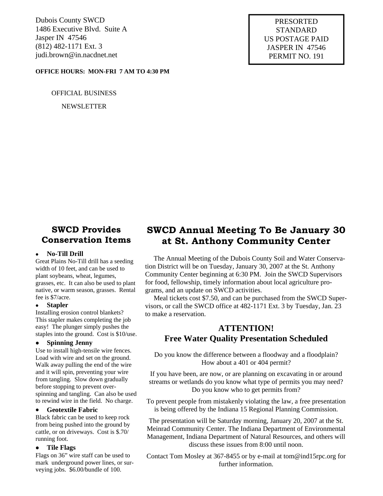Dubois County SWCD 1486 Executive Blvd. Suite A Jasper IN 47546 (812) 482-1171 Ext. 3 judi.brown@in.nacdnet.net

#### **OFFICE HOURS: MON-FRI 7 AM TO 4:30 PM**

#### OFFICIAL BUSINESS

NEWSLETTER

PRESORTED STANDARD US POSTAGE PAID JASPER IN 47546 PERMIT NO. 191

### **SWCD Provides Conservation Items**

#### • **No-Till Drill**

Great Plains No-Till drill has a seeding width of 10 feet, and can be used to plant soybeans, wheat, legumes, grasses, etc. It can also be used to plant native, or warm season, grasses. Rental fee is \$7/acre.

#### • **Stapler**

Installing erosion control blankets? This stapler makes completing the job easy! The plunger simply pushes the staples into the ground. Cost is \$10/use.

#### • **Spinning Jenny**

Use to install high-tensile wire fences. Load with wire and set on the ground. Walk away pulling the end of the wire and it will spin, preventing your wire from tangling. Slow down gradually before stopping to prevent overspinning and tangling. Can also be used to rewind wire in the field. No charge.

#### • **Geotextile Fabric**

Black fabric can be used to keep rock from being pushed into the ground by cattle, or on driveways. Cost is \$.70/ running foot.

#### • **Tile Flags**

Flags on 36" wire staff can be used to mark underground power lines, or surveying jobs. \$6.00/bundle of 100.

## **SWCD Annual Meeting To Be January 30 at St. Anthony Community Center**

 The Annual Meeting of the Dubois County Soil and Water Conservation District will be on Tuesday, January 30, 2007 at the St. Anthony Community Center beginning at 6:30 PM. Join the SWCD Supervisors for food, fellowship, timely information about local agriculture programs, and an update on SWCD activities.

 Meal tickets cost \$7.50, and can be purchased from the SWCD Supervisors, or call the SWCD office at 482-1171 Ext. 3 by Tuesday, Jan. 23 to make a reservation.

### **ATTENTION! Free Water Quality Presentation Scheduled**

Do you know the difference between a floodway and a floodplain? How about a 401 or 404 permit?

If you have been, are now, or are planning on excavating in or around streams or wetlands do you know what type of permits you may need? Do you know who to get permits from?

To prevent people from mistakenly violating the law, a free presentation is being offered by the Indiana 15 Regional Planning Commission.

The presentation will be Saturday morning, January 20, 2007 at the St. Meinrad Community Center. The Indiana Department of Environmental Management, Indiana Department of Natural Resources, and others will discuss these issues from 8:00 until noon.

Contact Tom Mosley at 367-8455 or by e-mail at tom@ind15rpc.org for further information.